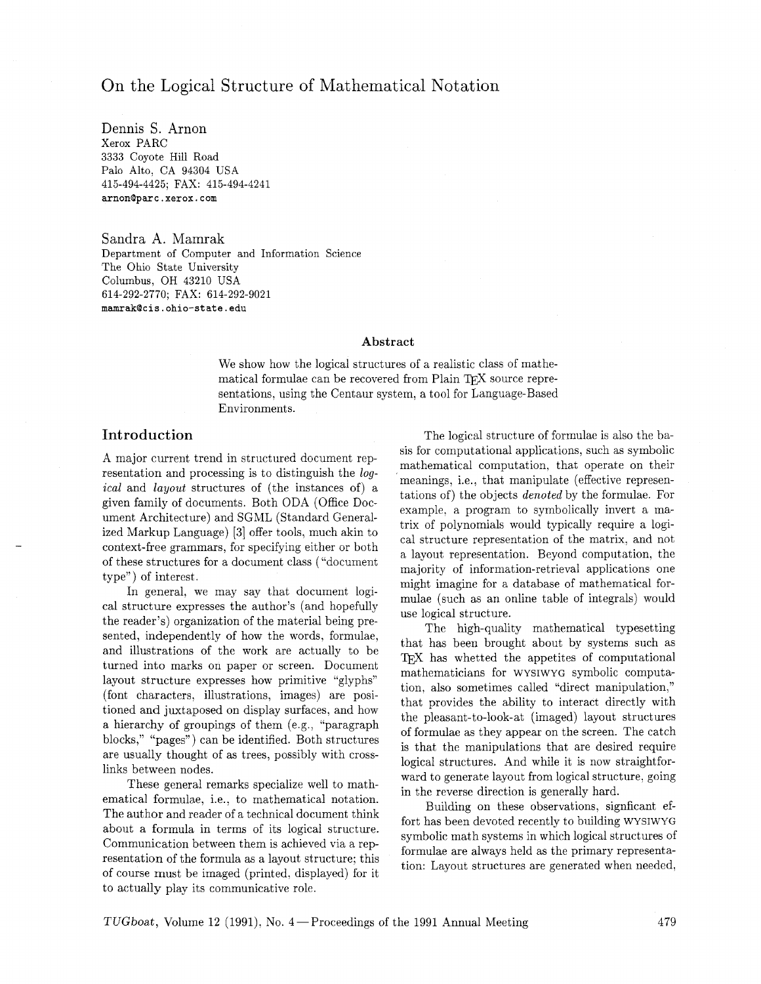# On the Logical Structure of Mathematical Notation

Dennis S. Arnon Xerox PARC 3333 Coyote Hill Road Palo Alto, CA 94304 USA 415-494-4425; FAX: 415-494-4241 **arnonQparc.xerox.com** 

Sandra A. Mamrak Department of Computer and Information Science The Ohio State University Columbus, OH 43210 USA 614-292-2770; FAX: 614-292-9021 **mamrakQcis. ohio-state .edu** 

#### **Abstract**

We show how the logical structures of a realistic class of mathematical formulae can be recovered from Plain TEX source representations, using the Centaur system, a tool for Language-Based Environments.

# Introduction

A major current trend in structured document representation and processing is to distinguish the logical and layout structures of (the instances of) a given family of documents. Both ODA (Office Document Architecture) and SGML (Standard Generalized Markup Language) **[3]** offer tools, much akin to context-free grammars, for specifying either or both of these structures for a document class ("document type") of interest.

In general, we may say that document logical structure expresses the author's (and hopefully the reader's) organization of the material being presented, independently of how the words, formulae, and illustrations of the work are actually to be turned into marks on paper or screen. Document layout structure expresses how primitive "glyphs" (font characters, illustrations, images) are positioned and juxtaposed on display surfaces, and how a hierarchy of groupings of them (e.g., "paragraph blocks," "pages") can be identified. Both structures are usually thought of as trees, possibly with crosslinks between nodes.

These general remarks specialize well to mathematical formulae, i.e., to mathematical notation. The author and reader of a technical document think about a formula in terms of its logical structure. Communication between them is achieved via a representation of the formula as a layout structure; this of course must be imaged (printed, displayed) for it to actually play its communicative role.

The logical structure of formulae is also the basis for computational applications, such as symbolic mathematical computation, that operate on their meanings, i.e., that manipulate (effective representations of) the objects *denoted* by the formulae. For example, a program to symbolically invert a matrix of polynomials would typically require a logical structure representation of the matrix, and not a layout representation. Beyond computation, the majority of information-retrieval applications one might imagine for a database of mathematical formulae (such as an online table of integrals) would use logical structure.

The high-quality mathematical typesetting that has been brought about by systems such as T<sub>F</sub>X has whetted the appetites of computational mathematicians for WYSIWYG symbolic computation, also sometimes called "direct manipulation," that provides the ability to interact directly with the pleasant-to-look-at (imaged) layout structures of formulae as they appear on the screen. The catch is that the manipulations that are desired require logical structures. And while it is now straightforward to generate layout from logical structure, going in the reverse direction is generally hard.

Building on these observations, signficant effort has been devoted recently to building WYSIWYG symbolic math systems in which logical structures of formulae are always held as the primary representation: Layout structures are generated when needed,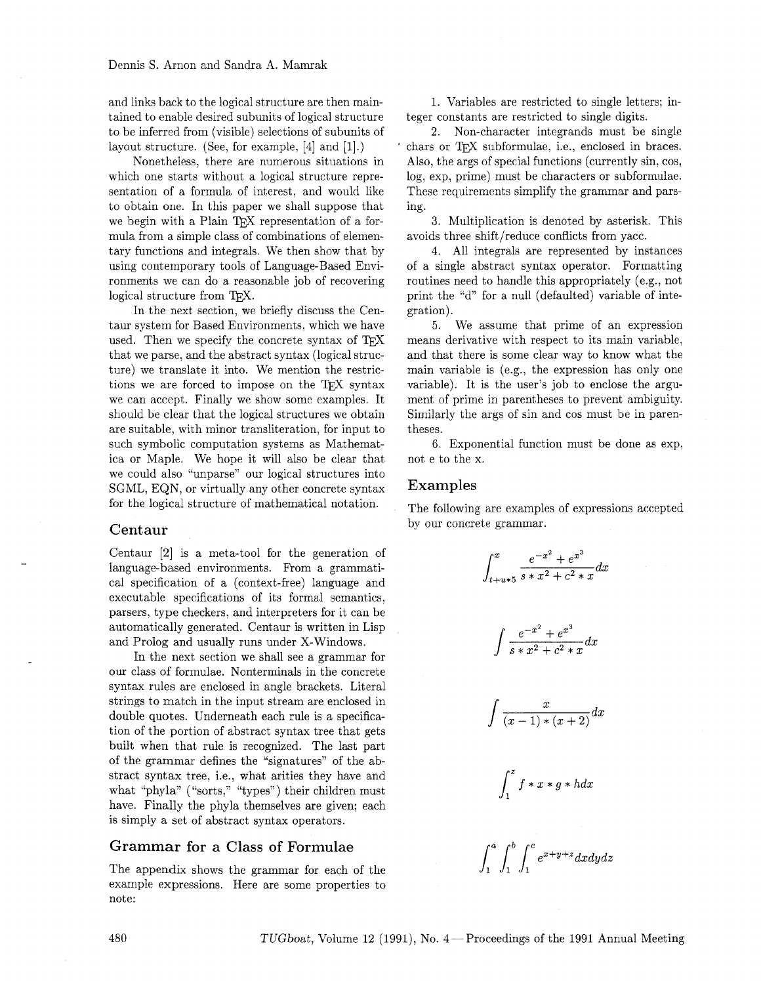and links back to the logical structure are then maintained to enable desired subunits of logical structure to be inferred from (visible) selections of subunits of layout structure. (See, for example, [4] and [I].)

Nonetheless, there are numerous situations in which one starts without a logical structure representation of a formula of interest, and would like to obtain one. In this paper we shall suppose that we begin with a Plain TEX representation of a formula from a simple class of combinations of elementary functions and integrals. We then show that by using contemporary tools of Language-Based Environments we can do a reasonable job of recovering logical structure from TFX.

In the next section, we briefly discuss the Centaur system for Based Environments, which we have used. Then we specify the concrete syntax of TFX that we parse, and the abstract syntax (logical structure) we translate it into. We mention the restrictions we are forced to impose on the TFX syntax we can accept. Finally we show some examples. It should be clear that the logical structures we obtain are suitable, with minor transliteration, for input to such symbolic computation systems as Mathematica or Maple. We hope it will also be clear that we could also "unparse" our logical structures into SGML, EQN, or virtually any other concrete syntax for the logical structure of mathematical notation.

### Centaur

Centaur [2] is a meta-tool for the generation of language-based environments. From a grammatical specification of a (context-free) language and executable specifications of its formal semantics, parsers, type checkers, and interpreters for it can be automatically generated. Centaur is written in Lisp and Prolog and usually runs under X-Windows.

In the next section we shall see a grammar for our class of formulae. Nonterminals in the concrete syntax rules are enclosed in angle brackets. Literal strings to match in the input stream are enclosed in double quotes. Underneath each rule is a specification of the portion of abstract syntax tree that gets built when that rule is recognized. The last part of the grammar defines the "signatures" of the abstract syntax tree, i.e., what arities they have and what "phyla" ("sorts," "types") their children must have. Finally the phyla themselves are given; each is simply a set of abstract syntax operators.

# Grammar for a Class of Formulae

The appendix shows the grammar for each of the example expressions. Here are some properties to note:

1. Variables are restricted to single letters; integer constants are restricted to single digits.

**2.** Non-character integrands must be single chars or TFX subformulae, i.e., enclosed in braces. Also, the args of special functions (currently sin. cos, log, exp, prime) must be characters or subformulae. These requirements simplify the grammar and parsing.

**3.** Multiplication is denoted by asterisk. This avoids three shift/reduce conflicts from yacc.

4. All integrals are represented by instances of a single abstract syntax operator. Formatting routines need to handle this appropriately (e.g., not print the "d" for a null (defaulted) variable of integration).

**5.** We assume that prime of an expression means derivative with respect to its main variable, and that there is some clear way to know what the main variable is (e.g., the expression has only one variable). It is the user's job to enclose the argument of prime in parentheses to prevent ambiguity. Similarly the args of sin and cos must be in parentheses.

6. Exponential function must be done as exp, not e to the x.

## Examples

The following are examples of expressions accepted by our concrete grammar.

$$
\int_{t+u*5}^{x} \frac{e^{-x^2} + e^{x^3}}{s * x^2 + c^2 * x} dx
$$
\n
$$
\int \frac{e^{-x^2} + e^{x^3}}{s * x^2 + c^2 * x} dx
$$
\n
$$
\int \frac{x}{(x-1) * (x+2)} dx
$$
\n
$$
\int_{1}^{z} f * x * g * h dx
$$
\n
$$
\int_{1}^{a} \int_{1}^{b} \int_{1}^{c} e^{x+y+z} dx dy dz
$$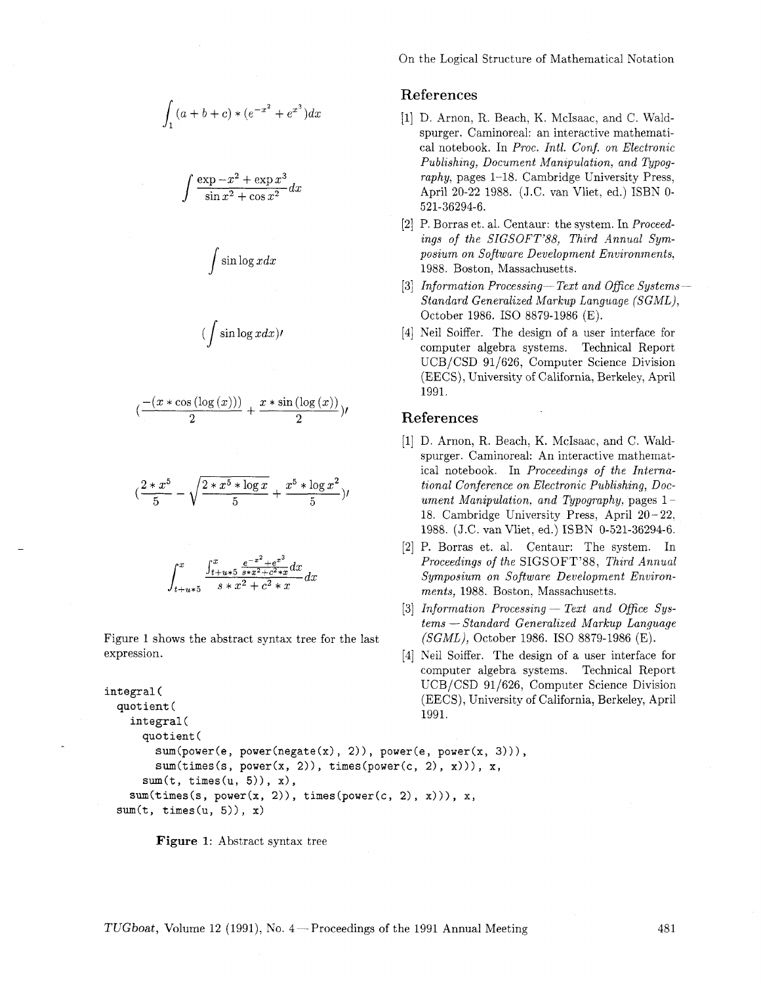$$
\int_{1}^{1}(a+b+c)*(e^{-x^{2}}+e^{x^{3}})dx
$$

$$
\int \frac{\exp{-x^2} + \exp{x^3}}{\sin{x^2} + \cos{x^2}} dx
$$

$$
\int \sin \log x dx
$$

$$
(\int \sin \log x dx) \prime
$$

$$
(\frac{-(x*\cos{(\log{(x)}))}}{2}+\frac{x*\sin{(\log{(x)})}}{2})\prime
$$

$$
(\frac{2*x^5}{5}-\sqrt{\frac{2*x^5*\log x}{5}}+\frac{x^5*\log x^2}{5})\prime
$$

$$
\int_{t+u*5}^{x} \frac{\int_{t+u*5}^{x} \frac{e^{-x^2} + e^{x^3}}{s+x^2 + c^2*x} dx}{s*x^2 + c^2 * x} dx
$$

Figure 1 shows the abstract syntax tree for the last expression.

```
integral ( 
 quotient ( 
                                                   1991. 
    integral ( 
      quotient ( 
        sum(pover(e, power(negrate(x), 2)), power(e, power(x, 3))),sum(times(s, power(x, 2)), times(power(c, 2), x))), x,sum(t, times(u, 5)), x),sum(times(s, power(x, 2)), times(power(c, 2), x))), x,sum(t, times(u, 5)), x)
```


On the Logical Structure of Mathematical Notation

## References

- [I] D. Arnon, R. Beach, K. McIsaac, and C. Waldspurger. Caminoreal: an interactive mathematical notebook. In *Proc. Intl. Conf. on Electronic Publishing, Document Manipulation, and Typography,* pages 1-18. Cambridge University Press, April 20-22 1988. (J.C. van Vliet, ed.) ISBN O-521-36294-6.
- [2] P. Borras et. al. Centaur: the system. In *Proceedings of the SIGSOFT'88, Third Annual Symposium on Soflware Development Environments,*  1988. Boston, Massachusetts.
- [3] *Information Processing-Text and Ofice Systems-Standard Generalized Markup Language (SGML),*  October 1986. IS0 8879-1986 (E).
- [4] Neil Soiffer. The design of a user interface for computer algebra systems. Technical Report UCB/CSD 91/626, Computer Science Division (EECS), University of California, Berkeley, April 1991.

### References

- [I] D. Arnon, R. Beach. K. McIsaac, and C. Waldspurger. Caminoreal: An interactive mathematical notebook. In *Proceedings of the International Conference on Electronic Publishing, Document Manipulation, and Typography,* pages 1 - 18. Cambridge University Press, April 20 - 22. 1988. (J.C. van Vliet. ed.) ISBN 0-521-36294-6.
- [2] P. Borras et. al. Centaur: The system. In *Proceedings of the* SIGSOFT'88, *Third Annual Symposium on Software Development Environments,* 1988. Boston, Massachusetts.
- $ments, 1988. Boston, Massachusetts.$ <br>
[3] *Information Processing Text and Office Sys-Information Processing* — Text and Office Systems — Standard Generalized Markup Language *(SGML),* October 1986. IS0 8879-1986 (E).
- [4] Neil Soiffer. The design of a user interface for computer algebra systems. Technical Report UCB/CSD 91/626, Computer Science Division (EECS), University of California, Berkeley, April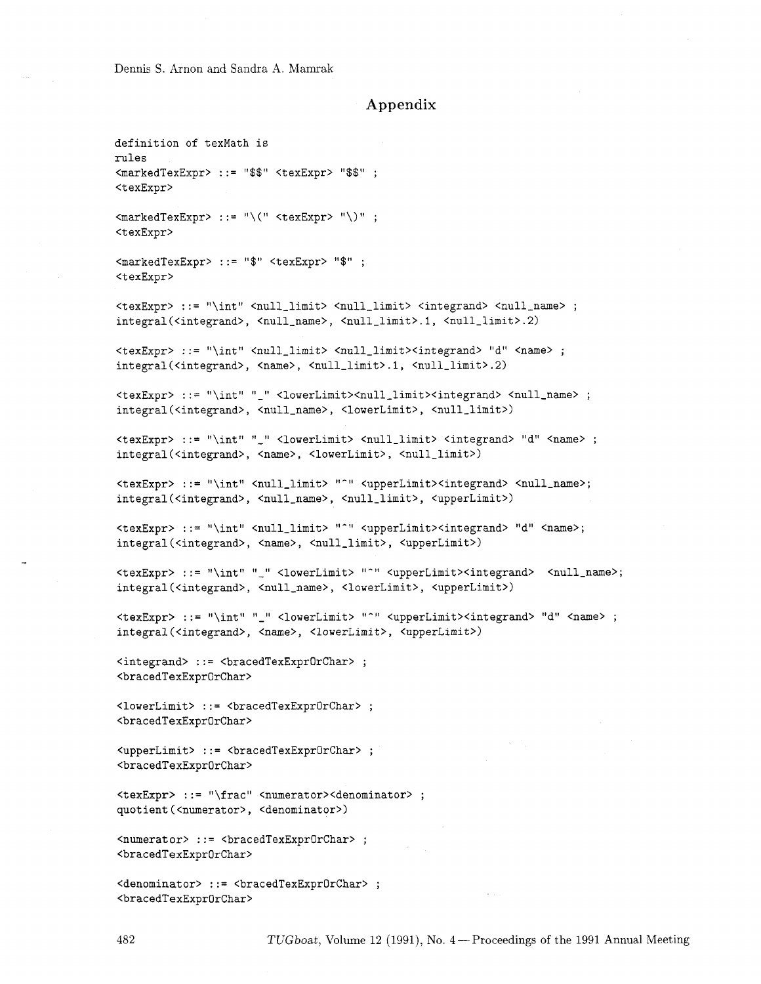Dennis S. Arnon and Sandra **A.** Mamrak

## **Appendix**

**definition of texMath is rules <markedTexExpr>** ::= "\$\$" **<texExpr>** "\$\$" ; **<texExpr>**   $\text{CmarkedTextError}$  ::= "\(" <texExpr> "\)"; <texExpr> <markedTexExpr> ::= "\$" <texExpr> "\$"; <texExpr> <texExpr> ::= "\int" <null\_limit> <null\_limit> <integrand> <null\_name> ; integral(<integrand>, <null\_name>, <null\_limit>.1, <null\_limit>.2) <texExpr> ::= "\int" <null\_limit> <null\_limit><integrand> "d" <name> ; integral(<integrand>, <name>, <null\_limit>.1, <null\_limit>.2) <texExpr> ::= "\int" "\_" <lowerLimit><null\_limit><integrand> <null\_name> ; integral(<integrand>, <null\_name>, <lowerLimit>, <null\_limit>) <texExpr> ::= "\int" "\_" <lowerLimit> <null\_limit> <integrand> "d" <name> ; integral(<integrand>, <name>, <lowerLimit>, <null\_limit>) <texExpr> ::= "\int" <null\_limit> "^" <upperLimit><integrand> <null\_name>; integral(<integrand>, <null\_name>, <null\_limit>, <upperLimit>) <texExpr> ::= "\int" <null\_limit> "^" <upperLimit><integrand> "d" <name>; integral(<integrand>, <name>, <null\_limit>, <upperLimit>) <texExpr> ::= "\int" "\_" <lowerLimit> "<sup>-</sup>" <upperLimit><integrand> <null\_name>; integral(<integrand>, <null\_name>, <lowerLimit>, <upperLimit>) <texExpr> ::= "\int" "\_" <lowerLimit> "^" <upperLimit><integrand> "d" <name> ; integral(<integrand>, <name>, <lowerLimit>, <upperLimit>) <integrand> ::= <bracedTexExpr0rChar> ; <bracedTexExpr0rChar> <lowerLimit> ::= <bracedTexExpr0rChar> ; <bracedTexExpr0rChar> <upperLimit> ::= <br <<br />
<br />
<br />
corporChar> ; <bracedTexExpr0rChar> <texExpr> ::= "\frac" <numerator><denominator> ; quotient (<numerator>, <denominator>) <bracedTexExpr0rChar>

<denominator> ::= <bracedTexExprOrChar> ; <bracedTexExpr0rChar>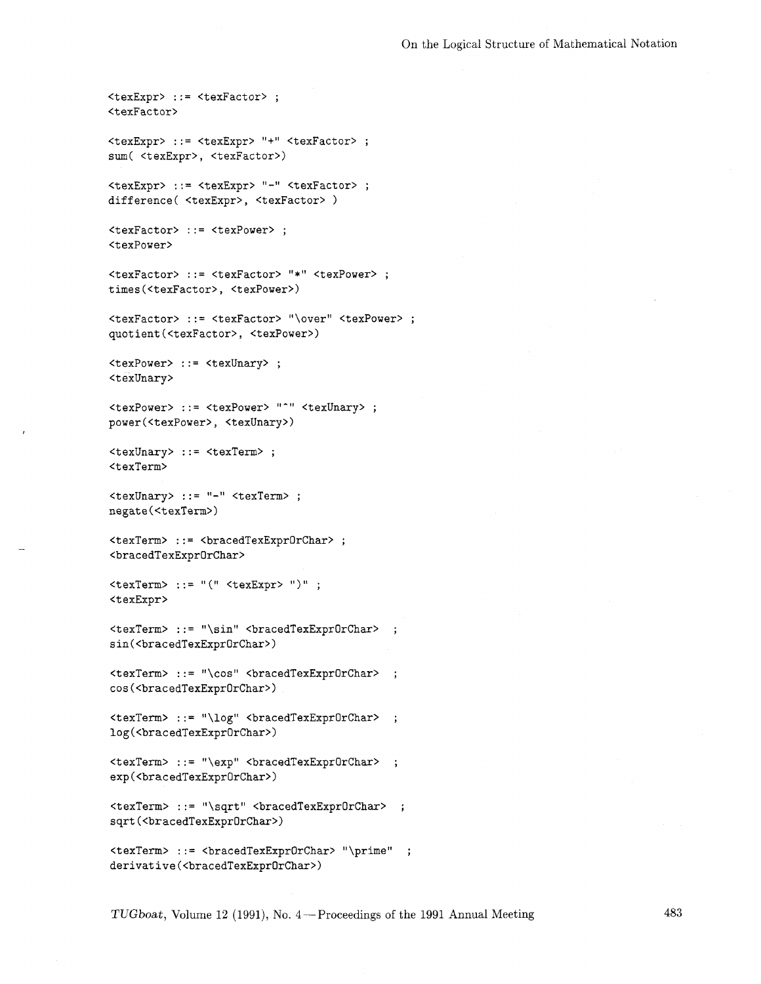```
<texExpr> ::= <texFactor> ;
<texFactor>
<texExpr> ::= <texExpr> "+" <texFactor> ;
sum( <texExpr>, <texFactor>)
<texExpr> ::= <texExpr> "-" <texFactor> ;
difference( <texExpr>, <texFactor> )
<texFactor> ::= <texPower> ;
<texPower>
<texFactor> ::= <texFactor> "*" <texPower> ; 
times (<texFactor>, <texPower>) 
<texFactor> ::= <texFactor> "\over" <texPower> ;
quotient (<texFactor>, <texPower>)
<texPower> ::= <texUnary> ;
<texUnary>
<texPower> ::= <texPower> "^" <texUnary> ;
power(<texPower>, <texUnary>)
<texUnary> ::= <texTerm> ;
<texTerm>
<texUnary> ::= "-" <texTerm> ;
negate(<texTerm>)
<texTerm> ::= <bracedTexExpr0rChar> ;
<bracedTexExprOrChar>
\text{#} <texTerm> ::= "(" <texExpr> ")";
<texExpr>
<texTerm> ::= "\sin" <bracedTexExpr0rChar> ;
sin(<br/>bracedTexExpr0rChar>)
<texTerm> ::= "\cos" <bracedTexExpr0rChar> ;
cos(<bracedTexExpr0rChar>)
log(<bracedTexExpr0rChar>)
<texTerm> ::= "\exp" <bracedTexExprOrChar> ;
exp(<bracedTexExpr0rChar>)
<texTerm> ::= "\sqrt" <bracedTexExprOrChar> ;
sqrt (<bracedTexExprOrChar>) 
<texTerm> ::= <bracedTexExprOrChar> "\prime" ; 
derivative (<bracedTexExprOrChar>)
```
*TUGboat, Volume 12 (1991), No. 4* – Proceedings of the 1991 Annual Meeting